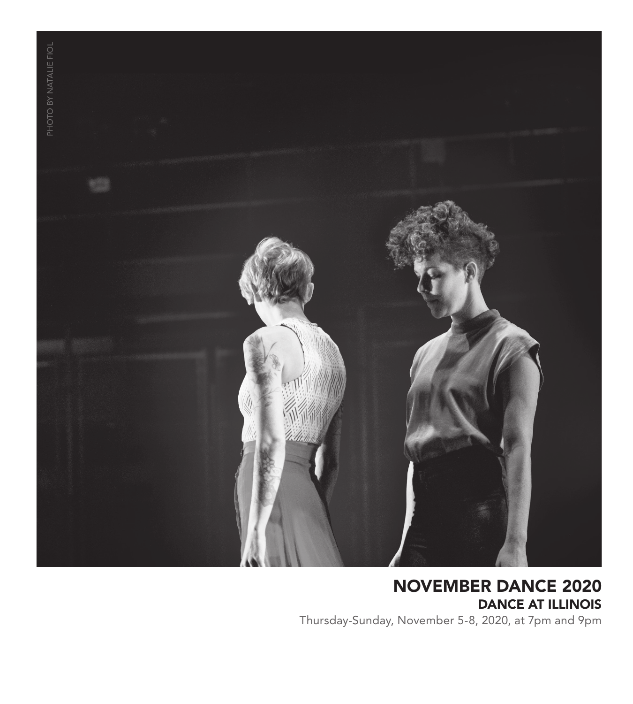

NOVEMBER DANCE 2020 DANCE AT ILLINOIS Thursday-Sunday, November 5-8, 2020, at 7pm and 9pm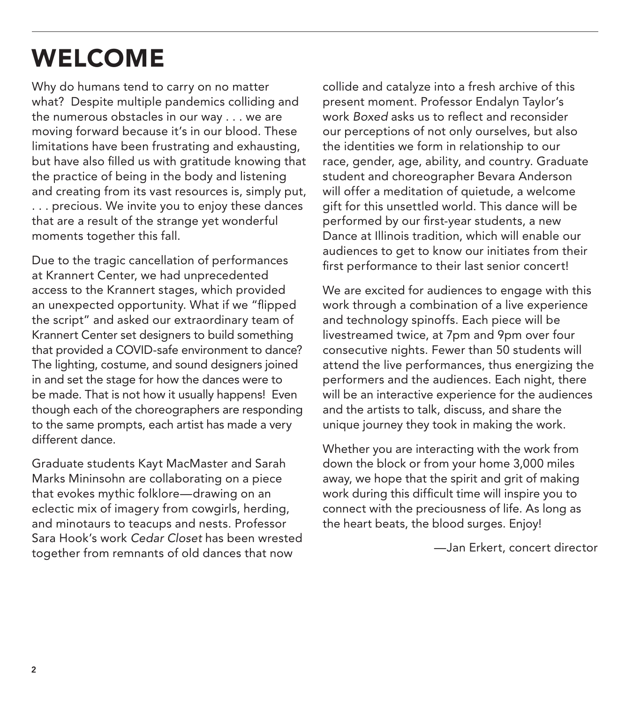## WELCOME

Why do humans tend to carry on no matter what? Despite multiple pandemics colliding and the numerous obstacles in our way . . . we are moving forward because it's in our blood. These limitations have been frustrating and exhausting, but have also filled us with gratitude knowing that the practice of being in the body and listening and creating from its vast resources is, simply put, . . . precious. We invite you to enjoy these dances that are a result of the strange yet wonderful moments together this fall.

Due to the tragic cancellation of performances at Krannert Center, we had unprecedented access to the Krannert stages, which provided an unexpected opportunity. What if we "flipped the script" and asked our extraordinary team of Krannert Center set designers to build something that provided a COVID-safe environment to dance? The lighting, costume, and sound designers joined in and set the stage for how the dances were to be made. That is not how it usually happens! Even though each of the choreographers are responding to the same prompts, each artist has made a very different dance.

Graduate students Kayt MacMaster and Sarah Marks Mininsohn are collaborating on a piece that evokes mythic folklore—drawing on an eclectic mix of imagery from cowgirls, herding, and minotaurs to teacups and nests. Professor Sara Hook's work *Cedar Closet* has been wrested together from remnants of old dances that now

collide and catalyze into a fresh archive of this present moment. Professor Endalyn Taylor's work *Boxed* asks us to reflect and reconsider our perceptions of not only ourselves, but also the identities we form in relationship to our race, gender, age, ability, and country. Graduate student and choreographer Bevara Anderson will offer a meditation of quietude, a welcome gift for this unsettled world. This dance will be performed by our first-year students, a new Dance at Illinois tradition, which will enable our audiences to get to know our initiates from their first performance to their last senior concert!

We are excited for audiences to engage with this work through a combination of a live experience and technology spinoffs. Each piece will be livestreamed twice, at 7pm and 9pm over four consecutive nights. Fewer than 50 students will attend the live performances, thus energizing the performers and the audiences. Each night, there will be an interactive experience for the audiences and the artists to talk, discuss, and share the unique journey they took in making the work.

Whether you are interacting with the work from down the block or from your home 3,000 miles away, we hope that the spirit and grit of making work during this difficult time will inspire you to connect with the preciousness of life. As long as the heart beats, the blood surges. Enjoy!

—Jan Erkert, concert director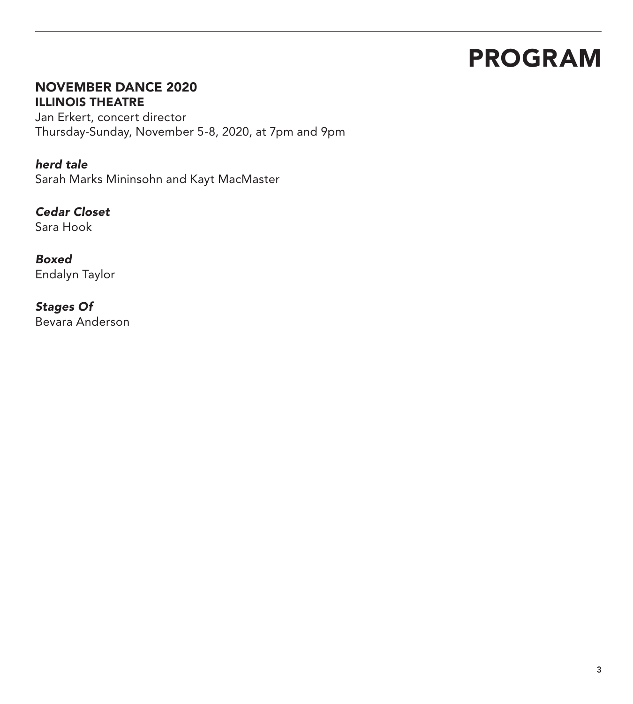## PROGRAM

## NOVEMBER DANCE 2020 ILLINOIS THEATRE

Jan Erkert, concert director Thursday-Sunday, November 5-8, 2020, at 7pm and 9pm

## *herd tale*

Sarah Marks Mininsohn and Kayt MacMaster

*Cedar Closet*  Sara Hook

*Boxed*

Endalyn Taylor

## *Stages Of*

Bevara Anderson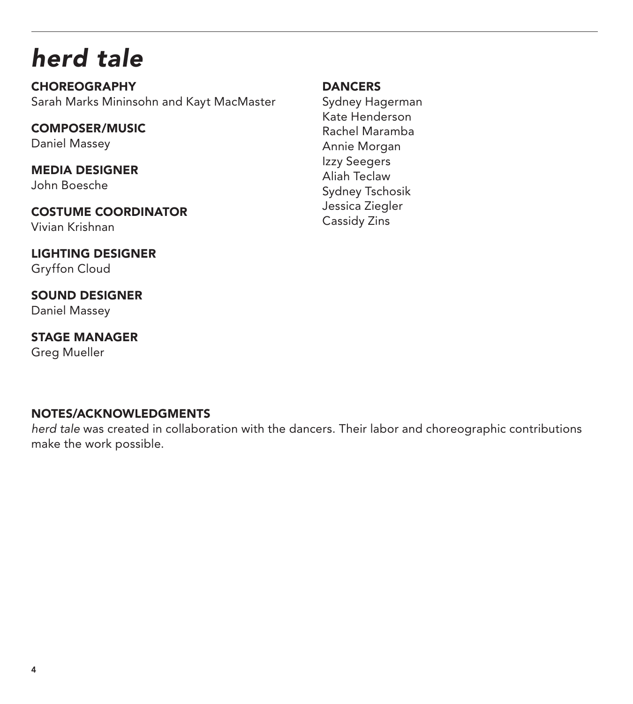## *herd tale*

**CHOREOGRAPHY** Sarah Marks Mininsohn and Kayt MacMaster

COMPOSER/MUSIC Daniel Massey

MEDIA DESIGNER John Boesche

COSTUME COORDINATOR Vivian Krishnan

LIGHTING DESIGNER Gryffon Cloud

SOUND DESIGNER Daniel Massey

STAGE MANAGER Greg Mueller

## **DANCERS**

Sydney Hagerman Kate Henderson Rachel Maramba Annie Morgan Izzy Seegers Aliah Teclaw Sydney Tschosik Jessica Ziegler Cassidy Zins

## NOTES/ACKNOWLEDGMENTS

*herd tale* was created in collaboration with the dancers. Their labor and choreographic contributions make the work possible.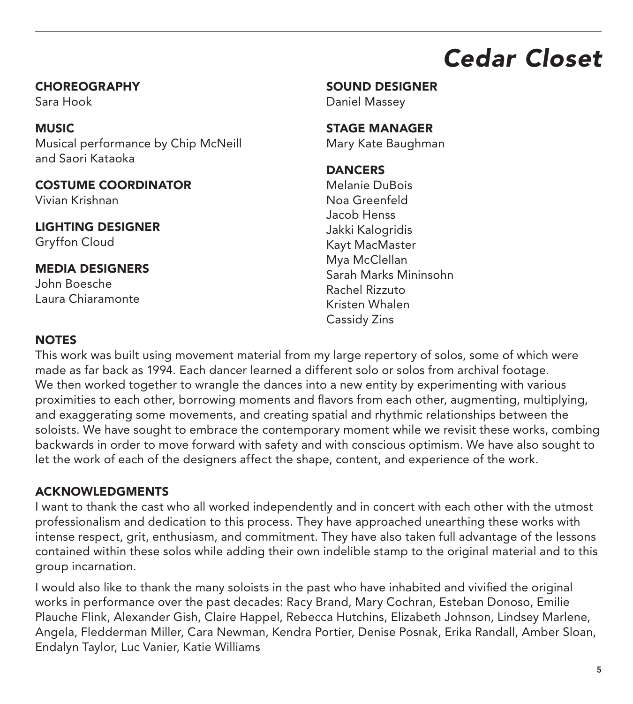## *Cedar Closet*

### CHOREOGRAPHY

Sara Hook

## **MUSIC**

Musical performance by Chip McNeill and Saori Kataoka

## COSTUME COORDINATOR

Vivian Krishnan

## LIGHTING DESIGNER

Gryffon Cloud

## MEDIA DESIGNERS John Boesche

Laura Chiaramonte

## SOUND DESIGNER

Daniel Massey

## STAGE MANAGER

Mary Kate Baughman

## **DANCERS**

Melanie DuBois Noa Greenfeld Jacob Henss Jakki Kalogridis Kayt MacMaster Mya McClellan Sarah Marks Mininsohn Rachel Rizzuto Kristen Whalen Cassidy Zins

## **NOTES**

This work was built using movement material from my large repertory of solos, some of which were made as far back as 1994. Each dancer learned a different solo or solos from archival footage. We then worked together to wrangle the dances into a new entity by experimenting with various proximities to each other, borrowing moments and flavors from each other, augmenting, multiplying, and exaggerating some movements, and creating spatial and rhythmic relationships between the soloists. We have sought to embrace the contemporary moment while we revisit these works, combing backwards in order to move forward with safety and with conscious optimism. We have also sought to let the work of each of the designers affect the shape, content, and experience of the work.

## ACKNOWLEDGMENTS

I want to thank the cast who all worked independently and in concert with each other with the utmost professionalism and dedication to this process. They have approached unearthing these works with intense respect, grit, enthusiasm, and commitment. They have also taken full advantage of the lessons contained within these solos while adding their own indelible stamp to the original material and to this group incarnation.

I would also like to thank the many soloists in the past who have inhabited and vivified the original works in performance over the past decades: Racy Brand, Mary Cochran, Esteban Donoso, Emilie Plauche Flink, Alexander Gish, Claire Happel, Rebecca Hutchins, Elizabeth Johnson, Lindsey Marlene, Angela, Fledderman Miller, Cara Newman, Kendra Portier, Denise Posnak, Erika Randall, Amber Sloan, Endalyn Taylor, Luc Vanier, Katie Williams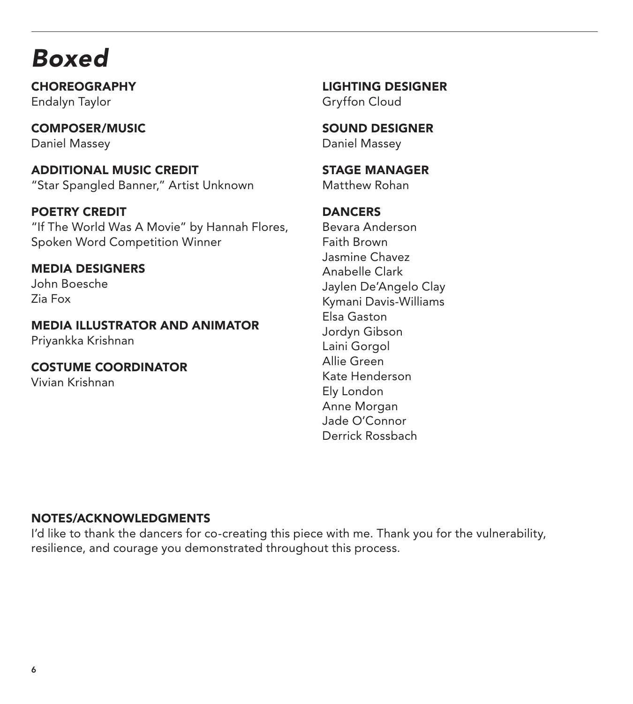## *Boxed*

CHOREOGRAPHY Endalyn Taylor

COMPOSER/MUSIC Daniel Massey

ADDITIONAL MUSIC CREDIT "Star Spangled Banner," Artist Unknown

POETRY CREDIT "If The World Was A Movie" by Hannah Flores, Spoken Word Competition Winner

MEDIA DESIGNERS John Boesche Zia Fox

MEDIA ILLUSTRATOR AND ANIMATOR Priyankka Krishnan

COSTUME COORDINATOR Vivian Krishnan

LIGHTING DESIGNER Gryffon Cloud

SOUND DESIGNER Daniel Massey

STAGE MANAGER Matthew Rohan

**DANCERS** Bevara Anderson Faith Brown Jasmine Chavez Anabelle Clark Jaylen De'Angelo Clay Kymani Davis-Williams Elsa Gaston Jordyn Gibson Laini Gorgol Allie Green Kate Henderson Ely London Anne Morgan Jade O'Connor Derrick Rossbach

## NOTES/ACKNOWLEDGMENTS

I'd like to thank the dancers for co-creating this piece with me. Thank you for the vulnerability, resilience, and courage you demonstrated throughout this process.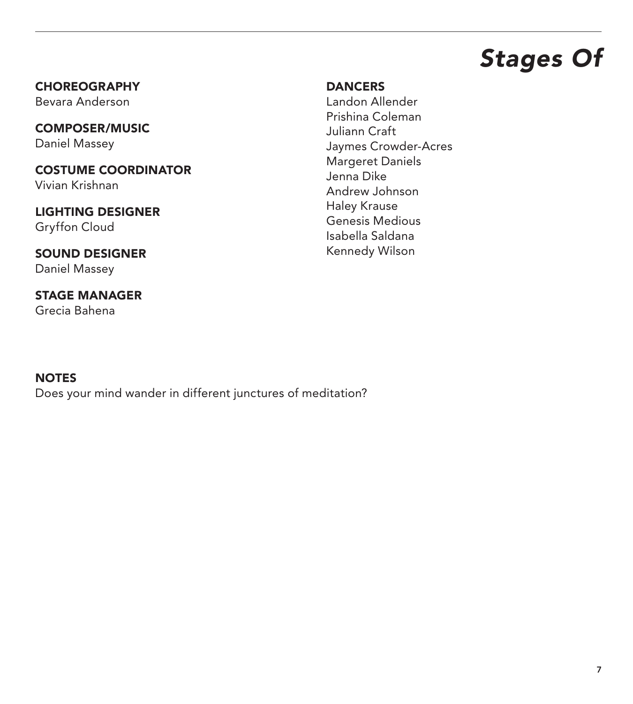## *Stages Of*

**CHOREOGRAPHY** Bevara Anderson

COMPOSER/MUSIC Daniel Massey

COSTUME COORDINATOR Vivian Krishnan

LIGHTING DESIGNER Gryffon Cloud

SOUND DESIGNER Daniel Massey

STAGE MANAGER Grecia Bahena

### **DANCERS**

Landon Allender Prishina Coleman Juliann Craft Jaymes Crowder-Acres Margeret Daniels Jenna Dike Andrew Johnson Haley Krause Genesis Medious Isabella Saldana Kennedy Wilson

## NOTES

Does your mind wander in different junctures of meditation?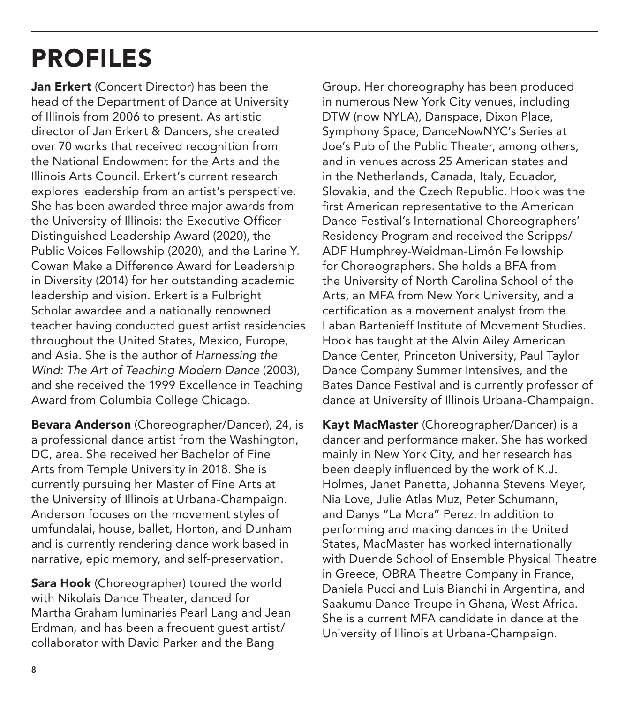## PROFILES

Jan Erkert (Concert Director) has been the head of the Department of Dance at University of Illinois from 2006 to present. As artistic director of Jan Erkert & Dancers, she created over 70 works that received recognition from the National Endowment for the Arts and the Illinois Arts Council. Erkert's current research explores leadership from an artist's perspective. She has been awarded three major awards from the University of Illinois: the Executive Officer Distinguished Leadership Award (2020), the Public Voices Fellowship (2020), and the Larine Y. Cowan Make a Difference Award for Leadership in Diversity (2014) for her outstanding academic leadership and vision. Erkert is a Fulbright Scholar awardee and a nationally renowned teacher having conducted guest artist residencies throughout the United States, Mexico, Europe, and Asia. She is the author of *Harnessing the Wind: The Art of Teaching Modern Dance* (2003), and she received the 1999 Excellence in Teaching Award from Columbia College Chicago.

Bevara Anderson (Choreographer/Dancer), 24, is a professional dance artist from the Washington, DC, area. She received her Bachelor of Fine Arts from Temple University in 2018. She is currently pursuing her Master of Fine Arts at the University of Illinois at Urbana-Champaign. Anderson focuses on the movement styles of umfundalai, house, ballet, Horton, and Dunham and is currently rendering dance work based in narrative, epic memory, and self-preservation.

**Sara Hook** (Choreographer) toured the world with Nikolais Dance Theater, danced for Martha Graham luminaries Pearl Lang and Jean Erdman, and has been a frequent guest artist/ collaborator with David Parker and the Bang

Group. Her choreography has been produced in numerous New York City venues, including DTW (now NYLA), Danspace, Dixon Place, Symphony Space, DanceNowNYC's Series at Joe's Pub of the Public Theater, among others, and in venues across 25 American states and in the Netherlands, Canada, Italy, Ecuador, Slovakia, and the Czech Republic. Hook was the first American representative to the American Dance Festival's International Choreographers' Residency Program and received the Scripps/ ADF Humphrey-Weidman-Limón Fellowship for Choreographers. She holds a BFA from the University of North Carolina School of the Arts, an MFA from New York University, and a certification as a movement analyst from the Laban Bartenieff Institute of Movement Studies. Hook has taught at the Alvin Ailey American Dance Center, Princeton University, Paul Taylor Dance Company Summer Intensives, and the Bates Dance Festival and is currently professor of dance at University of Illinois Urbana-Champaign.

Kayt MacMaster (Choreographer/Dancer) is a dancer and performance maker. She has worked mainly in New York City, and her research has been deeply influenced by the work of K.J. Holmes, Janet Panetta, Johanna Stevens Meyer, Nia Love, Julie Atlas Muz, Peter Schumann, and Danys "La Mora" Perez. In addition to performing and making dances in the United States, MacMaster has worked internationally with Duende School of Ensemble Physical Theatre in Greece, OBRA Theatre Company in France, Daniela Pucci and Luis Bianchi in Argentina, and Saakumu Dance Troupe in Ghana, West Africa. She is a current MFA candidate in dance at the University of Illinois at Urbana-Champaign.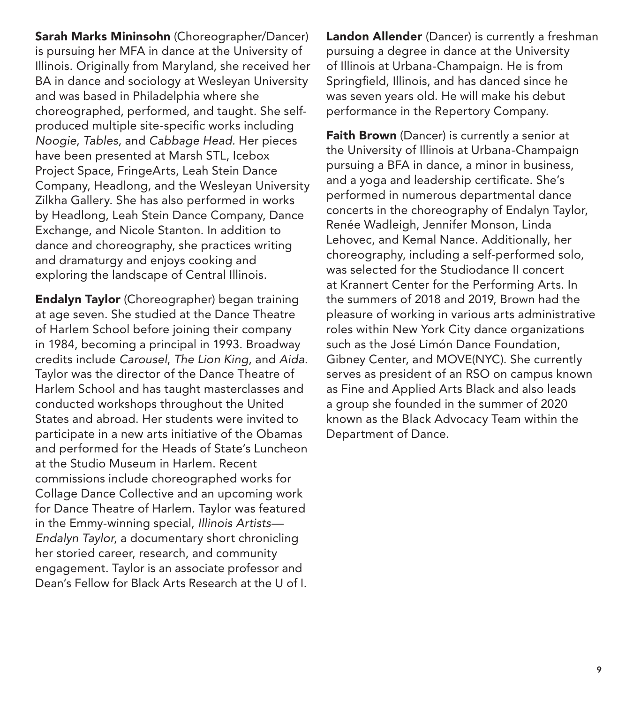Sarah Marks Mininsohn (Choreographer/Dancer) is pursuing her MFA in dance at the University of Illinois. Originally from Maryland, she received her BA in dance and sociology at Wesleyan University and was based in Philadelphia where she choreographed, performed, and taught. She selfproduced multiple site-specific works including *Noogie*, *Tables*, and *Cabbage Head.* Her pieces have been presented at Marsh STL, Icebox Project Space, FringeArts, Leah Stein Dance Company, Headlong, and the Wesleyan University Zilkha Gallery. She has also performed in works by Headlong, Leah Stein Dance Company, Dance Exchange, and Nicole Stanton. In addition to dance and choreography, she practices writing and dramaturgy and enjoys cooking and exploring the landscape of Central Illinois.

Endalyn Taylor (Choreographer) began training at age seven. She studied at the Dance Theatre of Harlem School before joining their company in 1984, becoming a principal in 1993. Broadway credits include *Carousel*, *The Lion King*, and *Aida*. Taylor was the director of the Dance Theatre of Harlem School and has taught masterclasses and conducted workshops throughout the United States and abroad. Her students were invited to participate in a new arts initiative of the Obamas and performed for the Heads of State's Luncheon at the Studio Museum in Harlem. Recent commissions include choreographed works for Collage Dance Collective and an upcoming work for Dance Theatre of Harlem. Taylor was featured in the Emmy-winning special, *Illinois Artists— Endalyn Taylor*, a documentary short chronicling her storied career, research, and community engagement. Taylor is an associate professor and Dean's Fellow for Black Arts Research at the U of I.

Landon Allender (Dancer) is currently a freshman pursuing a degree in dance at the University of Illinois at Urbana-Champaign. He is from Springfield, Illinois, and has danced since he was seven years old. He will make his debut performance in the Repertory Company.

Faith Brown (Dancer) is currently a senior at the University of Illinois at Urbana-Champaign pursuing a BFA in dance, a minor in business, and a yoga and leadership certificate. She's performed in numerous departmental dance concerts in the choreography of Endalyn Taylor, Renée Wadleigh, Jennifer Monson, Linda Lehovec, and Kemal Nance. Additionally, her choreography, including a self-performed solo, was selected for the Studiodance II concert at Krannert Center for the Performing Arts. In the summers of 2018 and 2019, Brown had the pleasure of working in various arts administrative roles within New York City dance organizations such as the José Limón Dance Foundation, Gibney Center, and MOVE(NYC). She currently serves as president of an RSO on campus known as Fine and Applied Arts Black and also leads a group she founded in the summer of 2020 known as the Black Advocacy Team within the Department of Dance.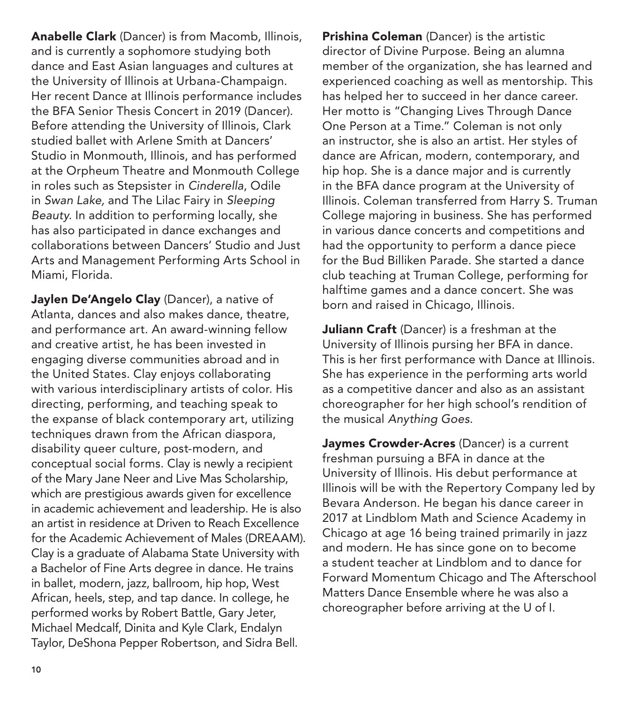Anabelle Clark (Dancer) is from Macomb, Illinois, and is currently a sophomore studying both dance and East Asian languages and cultures at the University of Illinois at Urbana-Champaign. Her recent Dance at Illinois performance includes the BFA Senior Thesis Concert in 2019 (Dancer). Before attending the University of Illinois, Clark studied ballet with Arlene Smith at Dancers' Studio in Monmouth, Illinois, and has performed at the Orpheum Theatre and Monmouth College in roles such as Stepsister in *Cinderella*, Odile in *Swan Lake,* and The Lilac Fairy in *Sleeping Beauty.* In addition to performing locally, she has also participated in dance exchanges and collaborations between Dancers' Studio and Just Arts and Management Performing Arts School in Miami, Florida.

Jaylen De'Angelo Clay (Dancer), a native of Atlanta, dances and also makes dance, theatre, and performance art. An award-winning fellow and creative artist, he has been invested in engaging diverse communities abroad and in the United States. Clay enjoys collaborating with various interdisciplinary artists of color. His directing, performing, and teaching speak to the expanse of black contemporary art, utilizing techniques drawn from the African diaspora, disability queer culture, post-modern, and conceptual social forms. Clay is newly a recipient of the Mary Jane Neer and Live Mas Scholarship, which are prestigious awards given for excellence in academic achievement and leadership. He is also an artist in residence at Driven to Reach Excellence for the Academic Achievement of Males (DREAAM). Clay is a graduate of Alabama State University with a Bachelor of Fine Arts degree in dance. He trains in ballet, modern, jazz, ballroom, hip hop, West African, heels, step, and tap dance. In college, he performed works by Robert Battle, Gary Jeter, Michael Medcalf, Dinita and Kyle Clark, Endalyn Taylor, DeShona Pepper Robertson, and Sidra Bell.

Prishina Coleman (Dancer) is the artistic director of Divine Purpose. Being an alumna member of the organization, she has learned and experienced coaching as well as mentorship. This has helped her to succeed in her dance career. Her motto is "Changing Lives Through Dance One Person at a Time." Coleman is not only an instructor, she is also an artist. Her styles of dance are African, modern, contemporary, and hip hop. She is a dance major and is currently in the BFA dance program at the University of Illinois. Coleman transferred from Harry S. Truman College majoring in business. She has performed in various dance concerts and competitions and had the opportunity to perform a dance piece for the Bud Billiken Parade. She started a dance club teaching at Truman College, performing for halftime games and a dance concert. She was born and raised in Chicago, Illinois.

Juliann Craft (Dancer) is a freshman at the University of Illinois pursing her BFA in dance. This is her first performance with Dance at Illinois. She has experience in the performing arts world as a competitive dancer and also as an assistant choreographer for her high school's rendition of the musical *Anything Goes.*

Jaymes Crowder-Acres (Dancer) is a current freshman pursuing a BFA in dance at the University of Illinois. His debut performance at Illinois will be with the Repertory Company led by Bevara Anderson. He began his dance career in 2017 at Lindblom Math and Science Academy in Chicago at age 16 being trained primarily in jazz and modern. He has since gone on to become a student teacher at Lindblom and to dance for Forward Momentum Chicago and The Afterschool Matters Dance Ensemble where he was also a choreographer before arriving at the U of I.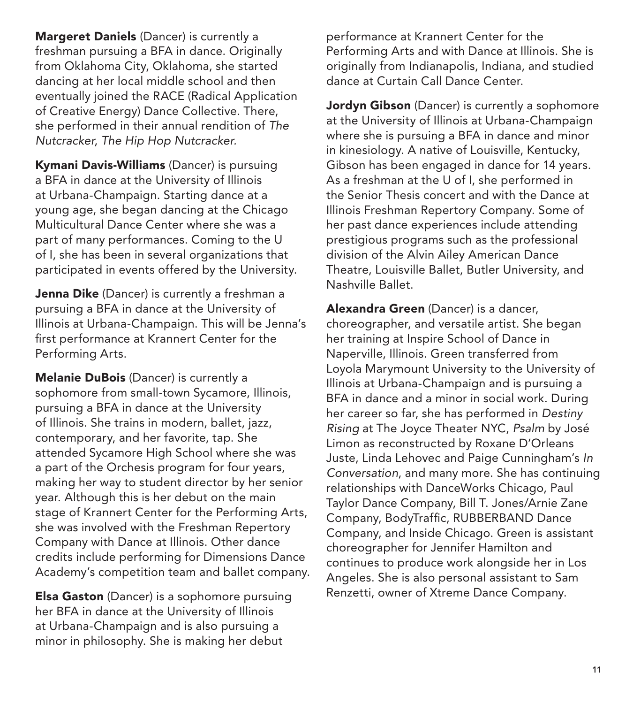Margeret Daniels (Dancer) is currently a freshman pursuing a BFA in dance. Originally from Oklahoma City, Oklahoma, she started dancing at her local middle school and then eventually joined the RACE (Radical Application of Creative Energy) Dance Collective. There, she performed in their annual rendition of *The Nutcracker*, *The Hip Hop Nutcracker.* 

Kymani Davis-Williams (Dancer) is pursuing a BFA in dance at the University of Illinois at Urbana-Champaign. Starting dance at a young age, she began dancing at the Chicago Multicultural Dance Center where she was a part of many performances. Coming to the U of I, she has been in several organizations that participated in events offered by the University.

Jenna Dike (Dancer) is currently a freshman a pursuing a BFA in dance at the University of Illinois at Urbana-Champaign. This will be Jenna's first performance at Krannert Center for the Performing Arts.

**Melanie DuBois** (Dancer) is currently a sophomore from small-town Sycamore, Illinois, pursuing a BFA in dance at the University of Illinois. She trains in modern, ballet, jazz, contemporary, and her favorite, tap. She attended Sycamore High School where she was a part of the Orchesis program for four years, making her way to student director by her senior year. Although this is her debut on the main stage of Krannert Center for the Performing Arts, she was involved with the Freshman Repertory Company with Dance at Illinois. Other dance credits include performing for Dimensions Dance Academy's competition team and ballet company.

**Elsa Gaston** (Dancer) is a sophomore pursuing her BFA in dance at the University of Illinois at Urbana-Champaign and is also pursuing a minor in philosophy. She is making her debut

performance at Krannert Center for the Performing Arts and with Dance at Illinois. She is originally from Indianapolis, Indiana, and studied dance at Curtain Call Dance Center.

Jordyn Gibson (Dancer) is currently a sophomore at the University of Illinois at Urbana-Champaign where she is pursuing a BFA in dance and minor in kinesiology. A native of Louisville, Kentucky, Gibson has been engaged in dance for 14 years. As a freshman at the U of I, she performed in the Senior Thesis concert and with the Dance at Illinois Freshman Repertory Company. Some of her past dance experiences include attending prestigious programs such as the professional division of the Alvin Ailey American Dance Theatre, Louisville Ballet, Butler University, and Nashville Ballet.

Alexandra Green (Dancer) is a dancer, choreographer, and versatile artist. She began her training at Inspire School of Dance in Naperville, Illinois. Green transferred from Loyola Marymount University to the University of Illinois at Urbana-Champaign and is pursuing a BFA in dance and a minor in social work. During her career so far, she has performed in *Destiny Rising* at The Joyce Theater NYC, *Psalm* by José Limon as reconstructed by Roxane D'Orleans Juste, Linda Lehovec and Paige Cunningham's *In Conversation*, and many more. She has continuing relationships with DanceWorks Chicago, Paul Taylor Dance Company, Bill T. Jones/Arnie Zane Company, BodyTraffic, RUBBERBAND Dance Company, and Inside Chicago. Green is assistant choreographer for Jennifer Hamilton and continues to produce work alongside her in Los Angeles. She is also personal assistant to Sam Renzetti, owner of Xtreme Dance Company.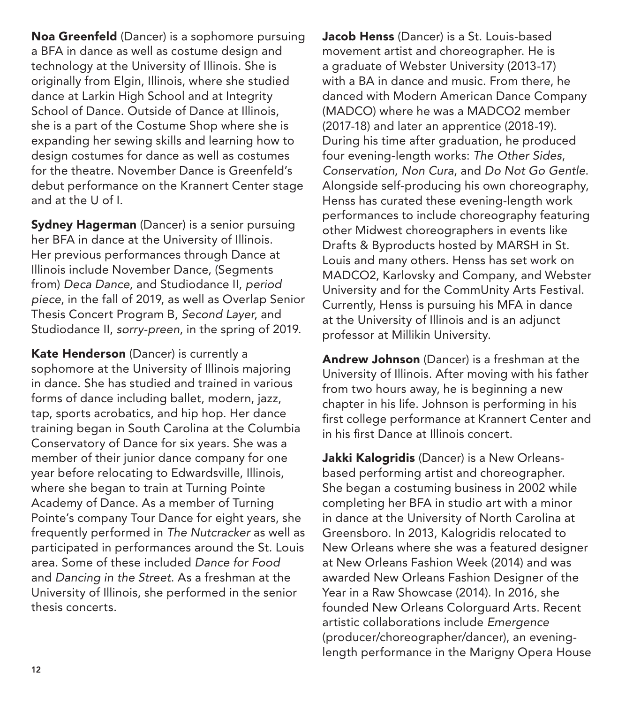Noa Greenfeld (Dancer) is a sophomore pursuing a BFA in dance as well as costume design and technology at the University of Illinois. She is originally from Elgin, Illinois, where she studied dance at Larkin High School and at Integrity School of Dance. Outside of Dance at Illinois, she is a part of the Costume Shop where she is expanding her sewing skills and learning how to design costumes for dance as well as costumes for the theatre. November Dance is Greenfeld's debut performance on the Krannert Center stage and at the U of I.

**Sydney Hagerman** (Dancer) is a senior pursuing her BFA in dance at the University of Illinois. Her previous performances through Dance at Illinois include November Dance, (Segments from) *Deca Dance*, and Studiodance II, *period piece*, in the fall of 2019, as well as Overlap Senior Thesis Concert Program B, *Second Layer*, and Studiodance II, *sorry-preen*, in the spring of 2019.

Kate Henderson (Dancer) is currently a sophomore at the University of Illinois majoring in dance. She has studied and trained in various forms of dance including ballet, modern, jazz, tap, sports acrobatics, and hip hop. Her dance training began in South Carolina at the Columbia Conservatory of Dance for six years. She was a member of their junior dance company for one year before relocating to Edwardsville, Illinois, where she began to train at Turning Pointe Academy of Dance. As a member of Turning Pointe's company Tour Dance for eight years, she frequently performed in *The Nutcracker* as well as participated in performances around the St. Louis area. Some of these included *Dance for Food*  and *Dancing in the Street*. As a freshman at the University of Illinois, she performed in the senior thesis concerts.

Jacob Henss (Dancer) is a St. Louis-based movement artist and choreographer. He is a graduate of Webster University (2013-17) with a BA in dance and music. From there, he danced with Modern American Dance Company (MADCO) where he was a MADCO2 member (2017-18) and later an apprentice (2018-19). During his time after graduation, he produced four evening-length works: *The Other Sides*, *Conservation*, *Non Cura*, and *Do Not Go Gentle*. Alongside self-producing his own choreography, Henss has curated these evening-length work performances to include choreography featuring other Midwest choreographers in events like Drafts & Byproducts hosted by MARSH in St. Louis and many others. Henss has set work on MADCO2, Karlovsky and Company, and Webster University and for the CommUnity Arts Festival. Currently, Henss is pursuing his MFA in dance at the University of Illinois and is an adjunct professor at Millikin University.

Andrew Johnson (Dancer) is a freshman at the University of Illinois. After moving with his father from two hours away, he is beginning a new chapter in his life. Johnson is performing in his first college performance at Krannert Center and in his first Dance at Illinois concert.

Jakki Kalogridis (Dancer) is a New Orleansbased performing artist and choreographer. She began a costuming business in 2002 while completing her BFA in studio art with a minor in dance at the University of North Carolina at Greensboro. In 2013, Kalogridis relocated to New Orleans where she was a featured designer at New Orleans Fashion Week (2014) and was awarded New Orleans Fashion Designer of the Year in a Raw Showcase (2014). In 2016, she founded New Orleans Colorguard Arts. Recent artistic collaborations include *Emergence* (producer/choreographer/dancer), an eveninglength performance in the Marigny Opera House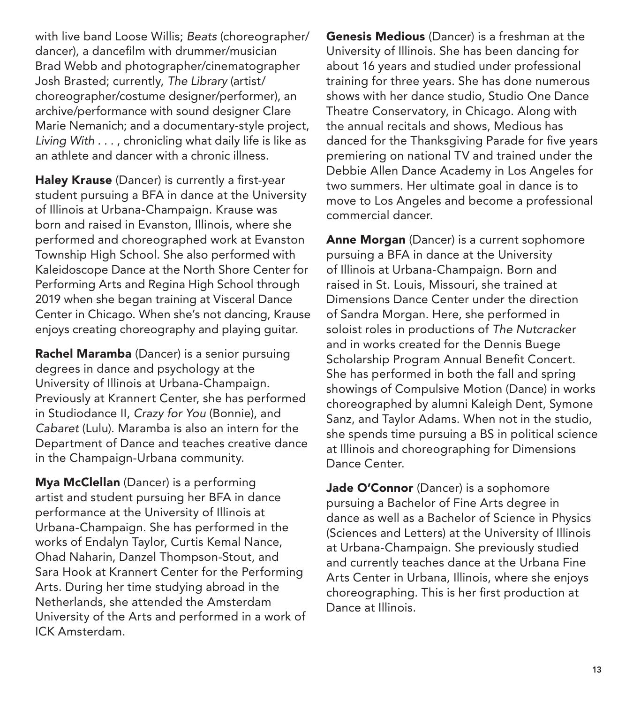with live band Loose Willis; *Beats* (choreographer/ dancer), a dancefilm with drummer/musician Brad Webb and photographer/cinematographer Josh Brasted; currently, *The Library* (artist/ choreographer/costume designer/performer), an archive/performance with sound designer Clare Marie Nemanich; and a documentary-style project, *Living With . . .* , chronicling what daily life is like as an athlete and dancer with a chronic illness.

Haley Krause (Dancer) is currently a first-year student pursuing a BFA in dance at the University of Illinois at Urbana-Champaign. Krause was born and raised in Evanston, Illinois, where she performed and choreographed work at Evanston Township High School. She also performed with Kaleidoscope Dance at the North Shore Center for Performing Arts and Regina High School through 2019 when she began training at Visceral Dance Center in Chicago. When she's not dancing, Krause enjoys creating choreography and playing guitar.

Rachel Maramba (Dancer) is a senior pursuing degrees in dance and psychology at the University of Illinois at Urbana-Champaign. Previously at Krannert Center, she has performed in Studiodance II, *Crazy for You* (Bonnie), and *Cabaret* (Lulu). Maramba is also an intern for the Department of Dance and teaches creative dance in the Champaign-Urbana community.

**Mya McClellan** (Dancer) is a performing artist and student pursuing her BFA in dance performance at the University of Illinois at Urbana-Champaign. She has performed in the works of Endalyn Taylor, Curtis Kemal Nance, Ohad Naharin, Danzel Thompson-Stout, and Sara Hook at Krannert Center for the Performing Arts. During her time studying abroad in the Netherlands, she attended the Amsterdam University of the Arts and performed in a work of ICK Amsterdam.

Genesis Medious (Dancer) is a freshman at the University of Illinois. She has been dancing for about 16 years and studied under professional training for three years. She has done numerous shows with her dance studio, Studio One Dance Theatre Conservatory, in Chicago. Along with the annual recitals and shows, Medious has danced for the Thanksgiving Parade for five years premiering on national TV and trained under the Debbie Allen Dance Academy in Los Angeles for two summers. Her ultimate goal in dance is to move to Los Angeles and become a professional commercial dancer.

Anne Morgan (Dancer) is a current sophomore pursuing a BFA in dance at the University of Illinois at Urbana-Champaign. Born and raised in St. Louis, Missouri, she trained at Dimensions Dance Center under the direction of Sandra Morgan. Here, she performed in soloist roles in productions of *The Nutcracke*r and in works created for the Dennis Buege Scholarship Program Annual Benefit Concert. She has performed in both the fall and spring showings of Compulsive Motion (Dance) in works choreographed by alumni Kaleigh Dent, Symone Sanz, and Taylor Adams. When not in the studio, she spends time pursuing a BS in political science at Illinois and choreographing for Dimensions Dance Center.

Jade O'Connor (Dancer) is a sophomore pursuing a Bachelor of Fine Arts degree in dance as well as a Bachelor of Science in Physics (Sciences and Letters) at the University of Illinois at Urbana-Champaign. She previously studied and currently teaches dance at the Urbana Fine Arts Center in Urbana, Illinois, where she enjoys choreographing. This is her first production at Dance at Illinois.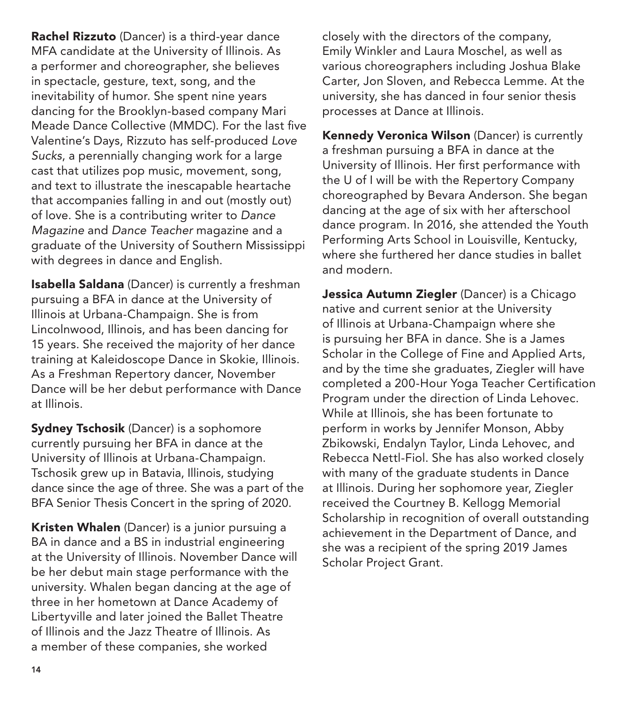Rachel Rizzuto (Dancer) is a third-year dance MFA candidate at the University of Illinois. As a performer and choreographer, she believes in spectacle, gesture, text, song, and the inevitability of humor. She spent nine years dancing for the Brooklyn-based company Mari Meade Dance Collective (MMDC). For the last five Valentine's Days, Rizzuto has self-produced *Love Sucks*, a perennially changing work for a large cast that utilizes pop music, movement, song, and text to illustrate the inescapable heartache that accompanies falling in and out (mostly out) of love. She is a contributing writer to *Dance Magazine* and *Dance Teacher* magazine and a graduate of the University of Southern Mississippi with degrees in dance and English.

Isabella Saldana (Dancer) is currently a freshman pursuing a BFA in dance at the University of Illinois at Urbana-Champaign. She is from Lincolnwood, Illinois, and has been dancing for 15 years. She received the majority of her dance training at Kaleidoscope Dance in Skokie, Illinois. As a Freshman Repertory dancer, November Dance will be her debut performance with Dance at Illinois.

Sydney Tschosik (Dancer) is a sophomore currently pursuing her BFA in dance at the University of Illinois at Urbana-Champaign. Tschosik grew up in Batavia, Illinois, studying dance since the age of three. She was a part of the BFA Senior Thesis Concert in the spring of 2020.

Kristen Whalen (Dancer) is a junior pursuing a BA in dance and a BS in industrial engineering at the University of Illinois. November Dance will be her debut main stage performance with the university. Whalen began dancing at the age of three in her hometown at Dance Academy of Libertyville and later joined the Ballet Theatre of Illinois and the Jazz Theatre of Illinois. As a member of these companies, she worked

closely with the directors of the company, Emily Winkler and Laura Moschel, as well as various choreographers including Joshua Blake Carter, Jon Sloven, and Rebecca Lemme. At the university, she has danced in four senior thesis processes at Dance at Illinois.

Kennedy Veronica Wilson (Dancer) is currently a freshman pursuing a BFA in dance at the University of Illinois. Her first performance with the U of I will be with the Repertory Company choreographed by Bevara Anderson. She began dancing at the age of six with her afterschool dance program. In 2016, she attended the Youth Performing Arts School in Louisville, Kentucky, where she furthered her dance studies in ballet and modern.

Jessica Autumn Ziegler (Dancer) is a Chicago native and current senior at the University of Illinois at Urbana-Champaign where she is pursuing her BFA in dance. She is a James Scholar in the College of Fine and Applied Arts, and by the time she graduates, Ziegler will have completed a 200-Hour Yoga Teacher Certification Program under the direction of Linda Lehovec. While at Illinois, she has been fortunate to perform in works by Jennifer Monson, Abby Zbikowski, Endalyn Taylor, Linda Lehovec, and Rebecca Nettl-Fiol. She has also worked closely with many of the graduate students in Dance at Illinois. During her sophomore year, Ziegler received the Courtney B. Kellogg Memorial Scholarship in recognition of overall outstanding achievement in the Department of Dance, and she was a recipient of the spring 2019 James Scholar Project Grant.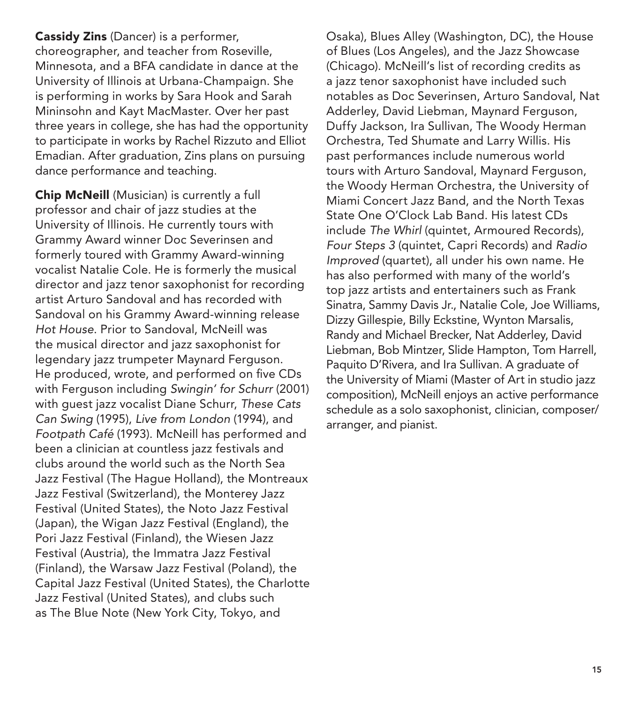Cassidy Zins (Dancer) is a performer, choreographer, and teacher from Roseville, Minnesota, and a BFA candidate in dance at the University of Illinois at Urbana-Champaign. She is performing in works by Sara Hook and Sarah Mininsohn and Kayt MacMaster. Over her past three years in college, she has had the opportunity to participate in works by Rachel Rizzuto and Elliot Emadian. After graduation, Zins plans on pursuing dance performance and teaching.

Chip McNeill (Musician) is currently a full professor and chair of jazz studies at the University of Illinois. He currently tours with Grammy Award winner Doc Severinsen and formerly toured with Grammy Award-winning vocalist Natalie Cole. He is formerly the musical director and jazz tenor saxophonist for recording artist Arturo Sandoval and has recorded with Sandoval on his Grammy Award-winning release *Hot House*. Prior to Sandoval, McNeill was the musical director and jazz saxophonist for legendary jazz trumpeter Maynard Ferguson. He produced, wrote, and performed on five CDs with Ferguson including *Swingin' for Schurr* (2001) with guest jazz vocalist Diane Schurr, *These Cats Can Swing* (1995), *Live from London* (1994), and *Footpath Café* (1993). McNeill has performed and been a clinician at countless jazz festivals and clubs around the world such as the North Sea Jazz Festival (The Hague Holland), the Montreaux Jazz Festival (Switzerland), the Monterey Jazz Festival (United States), the Noto Jazz Festival (Japan), the Wigan Jazz Festival (England), the Pori Jazz Festival (Finland), the Wiesen Jazz Festival (Austria), the Immatra Jazz Festival (Finland), the Warsaw Jazz Festival (Poland), the Capital Jazz Festival (United States), the Charlotte Jazz Festival (United States), and clubs such as The Blue Note (New York City, Tokyo, and

Osaka), Blues Alley (Washington, DC), the House of Blues (Los Angeles), and the Jazz Showcase (Chicago). McNeill's list of recording credits as a jazz tenor saxophonist have included such notables as Doc Severinsen, Arturo Sandoval, Nat Adderley, David Liebman, Maynard Ferguson, Duffy Jackson, Ira Sullivan, The Woody Herman Orchestra, Ted Shumate and Larry Willis. His past performances include numerous world tours with Arturo Sandoval, Maynard Ferguson, the Woody Herman Orchestra, the University of Miami Concert Jazz Band, and the North Texas State One O'Clock Lab Band. His latest CDs include *The Whirl* (quintet, Armoured Records), *Four Steps 3* (quintet, Capri Records) and *Radio Improved* (quartet), all under his own name. He has also performed with many of the world's top jazz artists and entertainers such as Frank Sinatra, Sammy Davis Jr., Natalie Cole, Joe Williams, Dizzy Gillespie, Billy Eckstine, Wynton Marsalis, Randy and Michael Brecker, Nat Adderley, David Liebman, Bob Mintzer, Slide Hampton, Tom Harrell, Paquito D'Rivera, and Ira Sullivan. A graduate of the University of Miami (Master of Art in studio jazz composition), McNeill enjoys an active performance schedule as a solo saxophonist, clinician, composer/ arranger, and pianist.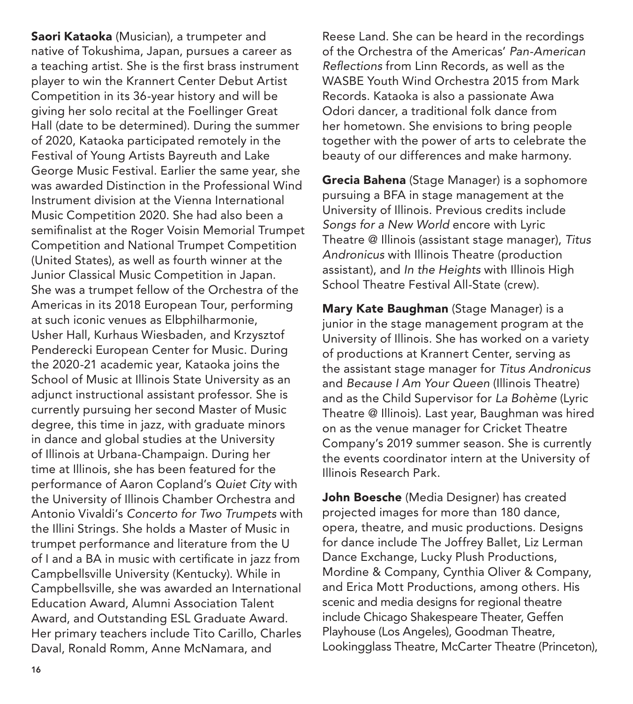Saori Kataoka (Musician), a trumpeter and native of Tokushima, Japan, pursues a career as a teaching artist. She is the first brass instrument player to win the Krannert Center Debut Artist Competition in its 36-year history and will be giving her solo recital at the Foellinger Great Hall (date to be determined). During the summer of 2020, Kataoka participated remotely in the Festival of Young Artists Bayreuth and Lake George Music Festival. Earlier the same year, she was awarded Distinction in the Professional Wind Instrument division at the Vienna International Music Competition 2020. She had also been a semifinalist at the Roger Voisin Memorial Trumpet Competition and National Trumpet Competition (United States), as well as fourth winner at the Junior Classical Music Competition in Japan. She was a trumpet fellow of the Orchestra of the Americas in its 2018 European Tour, performing at such iconic venues as Elbphilharmonie, Usher Hall, Kurhaus Wiesbaden, and Krzysztof Penderecki European Center for Music. During the 2020-21 academic year, Kataoka joins the School of Music at Illinois State University as an adjunct instructional assistant professor. She is currently pursuing her second Master of Music degree, this time in jazz, with graduate minors in dance and global studies at the University of Illinois at Urbana-Champaign. During her time at Illinois, she has been featured for the performance of Aaron Copland's *Quiet City* with the University of Illinois Chamber Orchestra and Antonio Vivaldi's *Concerto for Two Trumpets* with the Illini Strings. She holds a Master of Music in trumpet performance and literature from the U of I and a BA in music with certificate in jazz from Campbellsville University (Kentucky). While in Campbellsville, she was awarded an International Education Award, Alumni Association Talent Award, and Outstanding ESL Graduate Award. Her primary teachers include Tito Carillo, Charles Daval, Ronald Romm, Anne McNamara, and

Reese Land. She can be heard in the recordings of the Orchestra of the Americas' *Pan-American Reflections* from Linn Records, as well as the WASBE Youth Wind Orchestra 2015 from Mark Records. Kataoka is also a passionate Awa Odori dancer, a traditional folk dance from her hometown. She envisions to bring people together with the power of arts to celebrate the beauty of our differences and make harmony.

Grecia Bahena (Stage Manager) is a sophomore pursuing a BFA in stage management at the University of Illinois. Previous credits include *Songs for a New World* encore with Lyric Theatre @ Illinois (assistant stage manager), *Titus Andronicus* with Illinois Theatre (production assistant), and *In the Heights* with Illinois High School Theatre Festival All-State (crew).

Mary Kate Baughman (Stage Manager) is a junior in the stage management program at the University of Illinois. She has worked on a variety of productions at Krannert Center, serving as the assistant stage manager for *Titus Andronicus* and *Because I Am Your Queen* (Illinois Theatre) and as the Child Supervisor for *La Bohème* (Lyric Theatre @ Illinois). Last year, Baughman was hired on as the venue manager for Cricket Theatre Company's 2019 summer season. She is currently the events coordinator intern at the University of Illinois Research Park.

John Boesche (Media Designer) has created projected images for more than 180 dance, opera, theatre, and music productions. Designs for dance include The Joffrey Ballet, Liz Lerman Dance Exchange, Lucky Plush Productions, Mordine & Company, Cynthia Oliver & Company, and Erica Mott Productions, among others. His scenic and media designs for regional theatre include Chicago Shakespeare Theater, Geffen Playhouse (Los Angeles), Goodman Theatre, Lookingglass Theatre, McCarter Theatre (Princeton),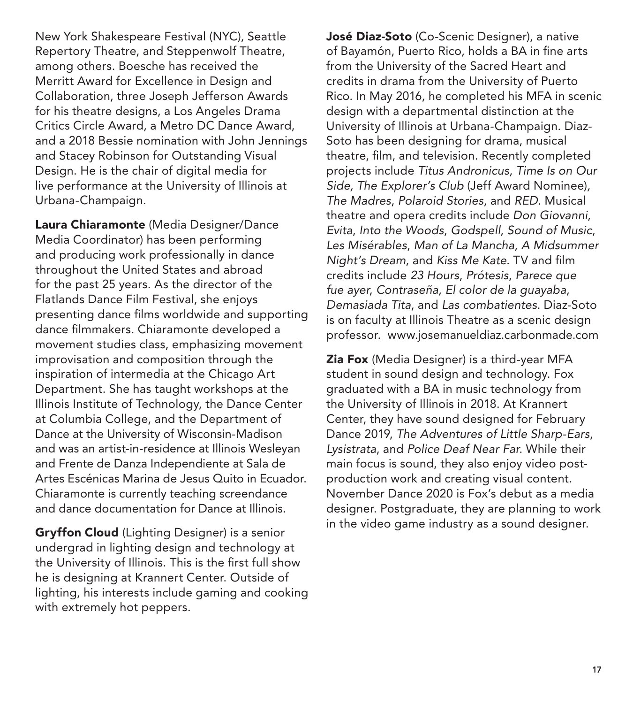New York Shakespeare Festival (NYC), Seattle Repertory Theatre, and Steppenwolf Theatre, among others. Boesche has received the Merritt Award for Excellence in Design and Collaboration, three Joseph Jefferson Awards for his theatre designs, a Los Angeles Drama Critics Circle Award, a Metro DC Dance Award, and a 2018 Bessie nomination with John Jennings and Stacey Robinson for Outstanding Visual Design. He is the chair of digital media for live performance at the University of Illinois at Urbana-Champaign.

Laura Chiaramonte (Media Designer/Dance Media Coordinator) has been performing and producing work professionally in dance throughout the United States and abroad for the past 25 years. As the director of the Flatlands Dance Film Festival, she enjoys presenting dance films worldwide and supporting dance filmmakers. Chiaramonte developed a movement studies class, emphasizing movement improvisation and composition through the inspiration of intermedia at the Chicago Art Department. She has taught workshops at the Illinois Institute of Technology, the Dance Center at Columbia College, and the Department of Dance at the University of Wisconsin-Madison and was an artist-in-residence at Illinois Wesleyan and Frente de Danza Independiente at Sala de Artes Escénicas Marina de Jesus Quito in Ecuador. Chiaramonte is currently teaching screendance and dance documentation for Dance at Illinois.

**Gryffon Cloud** (Lighting Designer) is a senior undergrad in lighting design and technology at the University of Illinois. This is the first full show he is designing at Krannert Center. Outside of lighting, his interests include gaming and cooking with extremely hot peppers.

José Diaz-Soto (Co-Scenic Designer), a native of Bayamón, Puerto Rico, holds a BA in fine arts from the University of the Sacred Heart and credits in drama from the University of Puerto Rico. In May 2016, he completed his MFA in scenic design with a departmental distinction at the University of Illinois at Urbana-Champaign. Diaz-Soto has been designing for drama, musical theatre, film, and television. Recently completed projects include *Titus Andronicus*, *Time Is on Our Side, The Explorer's Club* (Jeff Award Nominee)*, The Madres*, *Polaroid Stories*, and *RED*. Musical theatre and opera credits include *Don Giovanni*, *Evita*, *Into the Woods*, *Godspell*, *Sound of Music*, *Les Misérables*, *Man of La Mancha*, *A Midsummer Night's Dream*, and *Kiss Me Kate.* TV and film credits include *23 Hours*, *Prótesis*, *Parece que fue ayer*, *Contraseña*, *El color de la guayaba*, *Demasiada Tita*, and *Las combatientes.* Diaz-Soto is on faculty at Illinois Theatre as a scenic design professor. www.josemanueldiaz.carbonmade.com

**Zia Fox** (Media Designer) is a third-year MFA student in sound design and technology. Fox graduated with a BA in music technology from the University of Illinois in 2018. At Krannert Center, they have sound designed for February Dance 2019, *The Adventures of Little Sharp-Ears*, *Lysistrata*, and *Police Deaf Near Far*. While their main focus is sound, they also enjoy video postproduction work and creating visual content. November Dance 2020 is Fox's debut as a media designer. Postgraduate, they are planning to work in the video game industry as a sound designer.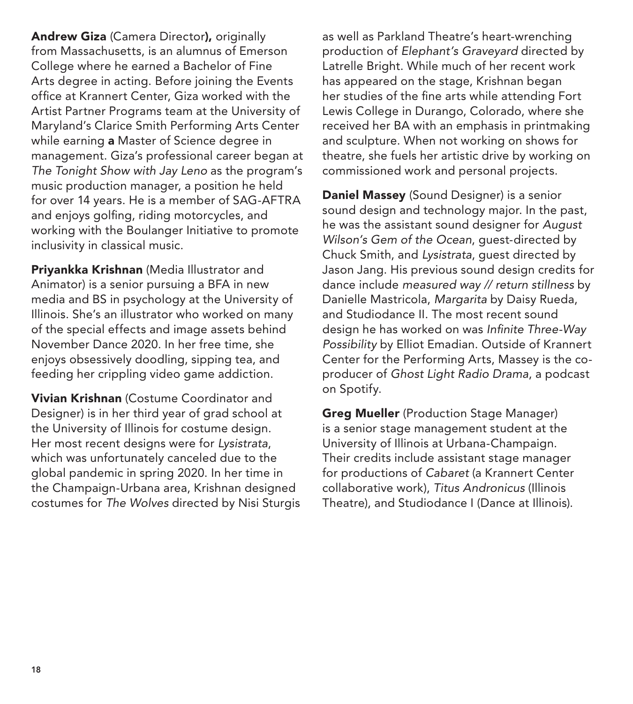Andrew Giza (Camera Director), originally from Massachusetts, is an alumnus of Emerson College where he earned a Bachelor of Fine Arts degree in acting. Before joining the Events office at Krannert Center, Giza worked with the Artist Partner Programs team at the University of Maryland's Clarice Smith Performing Arts Center while earning **a** Master of Science degree in management. Giza's professional career began at *The Tonight Show with Jay Leno* as the program's music production manager, a position he held for over 14 years. He is a member of SAG-AFTRA and enjoys golfing, riding motorcycles, and working with the Boulanger Initiative to promote inclusivity in classical music.

**Priyankka Krishnan** (Media Illustrator and Animator) is a senior pursuing a BFA in new media and BS in psychology at the University of Illinois. She's an illustrator who worked on many of the special effects and image assets behind November Dance 2020. In her free time, she enjoys obsessively doodling, sipping tea, and feeding her crippling video game addiction.

**Vivian Krishnan** (Costume Coordinator and Designer) is in her third year of grad school at the University of Illinois for costume design. Her most recent designs were for *Lysistrata*, which was unfortunately canceled due to the global pandemic in spring 2020. In her time in the Champaign-Urbana area, Krishnan designed costumes for *The Wolves* directed by Nisi Sturgis as well as Parkland Theatre's heart-wrenching production of *Elephant's Graveyard* directed by Latrelle Bright. While much of her recent work has appeared on the stage, Krishnan began her studies of the fine arts while attending Fort Lewis College in Durango, Colorado, where she received her BA with an emphasis in printmaking and sculpture. When not working on shows for theatre, she fuels her artistic drive by working on commissioned work and personal projects.

**Daniel Massey** (Sound Designer) is a senior sound design and technology major. In the past, he was the assistant sound designer for *August Wilson's Gem of the Ocean*, guest-directed by Chuck Smith, and *Lysistrata*, guest directed by Jason Jang. His previous sound design credits for dance include *measured way // return stillness* by Danielle Mastricola, *Margarita* by Daisy Rueda, and Studiodance II. The most recent sound design he has worked on was *Infinite Three-Way Possibility* by Elliot Emadian. Outside of Krannert Center for the Performing Arts, Massey is the coproducer of *Ghost Light Radio Drama*, a podcast on Spotify.

Greg Mueller (Production Stage Manager) is a senior stage management student at the University of Illinois at Urbana-Champaign. Their credits include assistant stage manager for productions of *Cabaret* (a Krannert Center collaborative work), *Titus Andronicus* (Illinois Theatre), and Studiodance I (Dance at Illinois).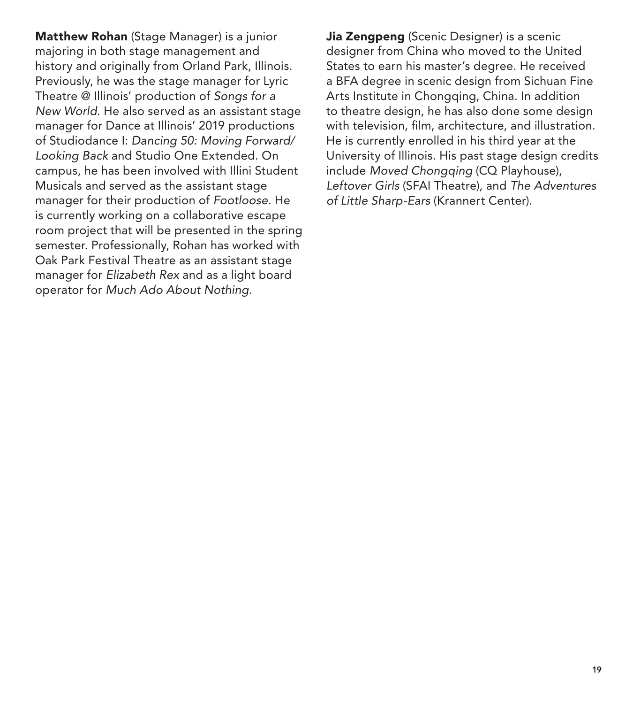Matthew Rohan (Stage Manager) is a junior majoring in both stage management and history and originally from Orland Park, Illinois. Previously, he was the stage manager for Lyric Theatre @ Illinois' production of *Songs for a New World*. He also served as an assistant stage manager for Dance at Illinois' 2019 productions of Studiodance I: *Dancing 50: Moving Forward/ Looking Back* and Studio One Extended. On campus, he has been involved with Illini Student Musicals and served as the assistant stage manager for their production of *Footloose*. He is currently working on a collaborative escape room project that will be presented in the spring semester. Professionally, Rohan has worked with Oak Park Festival Theatre as an assistant stage manager for *Elizabeth Rex* and as a light board operator for *Much Ado About Nothing.*

Jia Zengpeng (Scenic Designer) is a scenic designer from China who moved to the United States to earn his master's degree. He received a BFA degree in scenic design from Sichuan Fine Arts Institute in Chongging, China. In addition to theatre design, he has also done some design with television, film, architecture, and illustration. He is currently enrolled in his third year at the University of Illinois. His past stage design credits include *Moved Chongqing* (CQ Playhouse), *Leftover Girls* (SFAI Theatre), and *The Adventures of Little Sharp-Ears* (Krannert Center).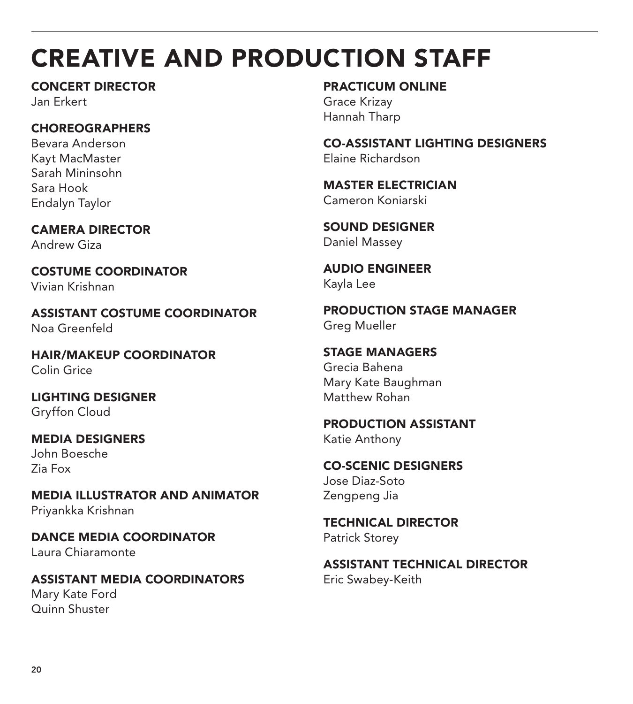## CREATIVE AND PRODUCTION STAFF

CONCERT DIRECTOR Jan Erkert

## **CHOREOGRAPHERS**

Bevara Anderson Kayt MacMaster Sarah Mininsohn Sara Hook Endalyn Taylor

CAMERA DIRECTOR Andrew Giza

COSTUME COORDINATOR Vivian Krishnan

ASSISTANT COSTUME COORDINATOR Noa Greenfeld

HAIR/MAKEUP COORDINATOR Colin Grice

LIGHTING DESIGNER Gryffon Cloud

MEDIA DESIGNERS John Boesche Zia Fox

MEDIA ILLUSTRATOR AND ANIMATOR Priyankka Krishnan

DANCE MEDIA COORDINATOR Laura Chiaramonte

ASSISTANT MEDIA COORDINATORS Mary Kate Ford Quinn Shuster

PRACTICUM ONLINE Grace Krizay Hannah Tharp

CO-ASSISTANT LIGHTING DESIGNERS Elaine Richardson

MASTER ELECTRICIAN Cameron Koniarski

SOUND DESIGNER Daniel Massey

AUDIO ENGINEER Kayla Lee

PRODUCTION STAGE MANAGER Greg Mueller

STAGE MANAGERS Grecia Bahena Mary Kate Baughman Matthew Rohan

PRODUCTION ASSISTANT Katie Anthony

CO-SCENIC DESIGNERS Jose Diaz-Soto Zengpeng Jia

TECHNICAL DIRECTOR Patrick Storey

ASSISTANT TECHNICAL DIRECTOR Eric Swabey-Keith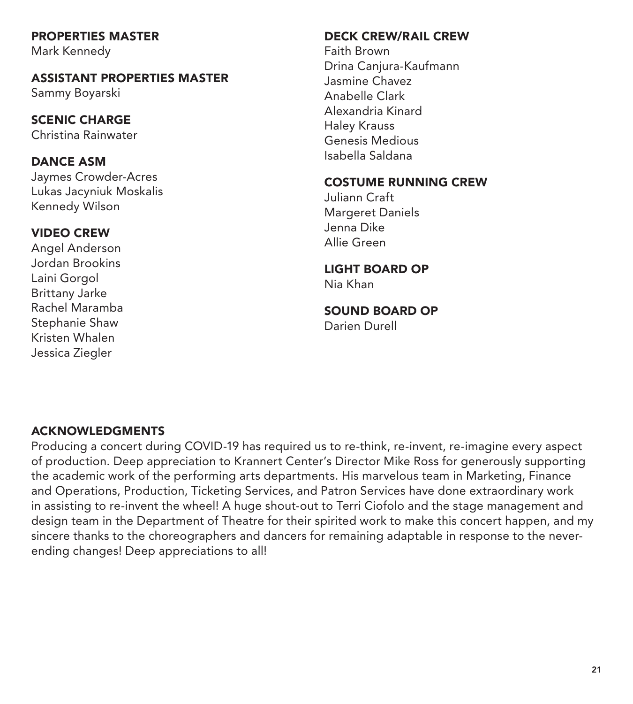### PROPERTIES MASTER

Mark Kennedy

### ASSISTANT PROPERTIES MASTER Sammy Boyarski

SCENIC CHARGE Christina Rainwater

## DANCE ASM

Jaymes Crowder-Acres Lukas Jacyniuk Moskalis Kennedy Wilson

## VIDEO CREW

Angel Anderson Jordan Brookins Laini Gorgol Brittany Jarke Rachel Maramba Stephanie Shaw Kristen Whalen Jessica Ziegler

### DECK CREW/RAIL CREW

Faith Brown Drina Canjura-Kaufmann Jasmine Chavez Anabelle Clark Alexandria Kinard Haley Krauss Genesis Medious Isabella Saldana

## COSTUME RUNNING CREW

Juliann Craft Margeret Daniels Jenna Dike Allie Green

## LIGHT BOARD OP

Nia Khan

#### SOUND BOARD OP Darien Durell

ACKNOWLEDGMENTS

Producing a concert during COVID-19 has required us to re-think, re-invent, re-imagine every aspect of production. Deep appreciation to Krannert Center's Director Mike Ross for generously supporting the academic work of the performing arts departments. His marvelous team in Marketing, Finance and Operations, Production, Ticketing Services, and Patron Services have done extraordinary work in assisting to re-invent the wheel! A huge shout-out to Terri Ciofolo and the stage management and design team in the Department of Theatre for their spirited work to make this concert happen, and my sincere thanks to the choreographers and dancers for remaining adaptable in response to the neverending changes! Deep appreciations to all!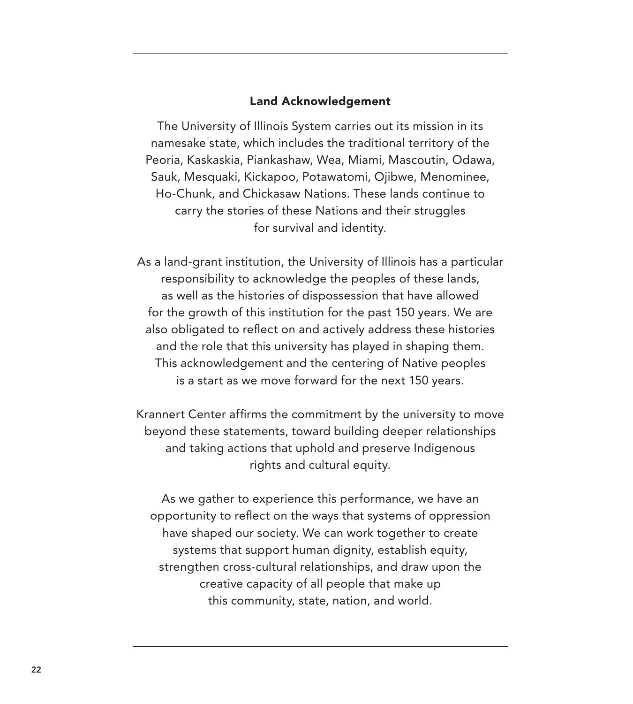#### Land Acknowledgement

The University of Illinois System carries out its mission in its namesake state, which includes the traditional territory of the Peoria, Kaskaskia, Piankashaw, Wea, Miami, Mascoutin, Odawa, Sauk, Mesquaki, Kickapoo, Potawatomi, Ojibwe, Menominee, Ho-Chunk, and Chickasaw Nations. These lands continue to carry the stories of these Nations and their struggles for survival and identity.

As a land-grant institution, the University of Illinois has a particular responsibility to acknowledge the peoples of these lands, as well as the histories of dispossession that have allowed for the growth of this institution for the past 150 years. We are also obligated to reflect on and actively address these histories and the role that this university has played in shaping them. This acknowledgement and the centering of Native peoples is a start as we move forward for the next 150 years.

Krannert Center affirms the commitment by the university to move beyond these statements, toward building deeper relationships and taking actions that uphold and preserve Indigenous rights and cultural equity.

As we gather to experience this performance, we have an opportunity to reflect on the ways that systems of oppression have shaped our society. We can work together to create systems that support human dignity, establish equity, strengthen cross-cultural relationships, and draw upon the creative capacity of all people that make up this community, state, nation, and world.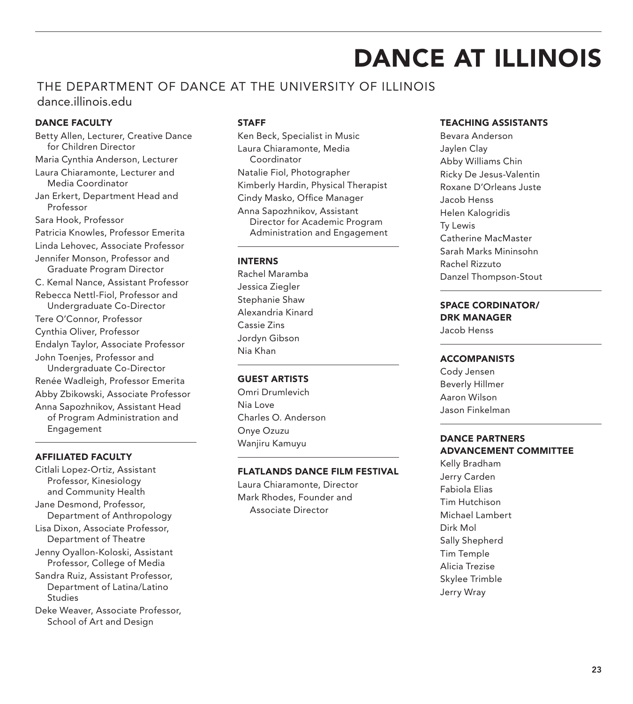## DANCE AT ILLINOIS

### THE DEPARTMENT OF DANCE AT THE UNIVERSITY OF ILLINOIS dance.illinois.edu

#### DANCE FACULTY

Betty Allen, Lecturer, Creative Dance for Children Director Maria Cynthia Anderson, Lecturer Laura Chiaramonte, Lecturer and Media Coordinator Jan Erkert, Department Head and Professor Sara Hook, Professor Patricia Knowles, Professor Emerita Linda Lehovec, Associate Professor Jennifer Monson, Professor and Graduate Program Director C. Kemal Nance, Assistant Professor Rebecca Nettl-Fiol, Professor and Undergraduate Co-Director Tere O'Connor, Professor Cynthia Oliver, Professor Endalyn Taylor, Associate Professor John Toenjes, Professor and Undergraduate Co-Director Renée Wadleigh, Professor Emerita Abby Zbikowski, Associate Professor Anna Sapozhnikov, Assistant Head of Program Administration and Engagement

#### AFFILIATED FACULTY

- Citlali Lopez-Ortiz, Assistant Professor, Kinesiology and Community Health
- Jane Desmond, Professor, Department of Anthropology
- Lisa Dixon, Associate Professor, Department of Theatre
- Jenny Oyallon-Koloski, Assistant Professor, College of Media
- Sandra Ruiz, Assistant Professor, Department of Latina/Latino Studies
- Deke Weaver, Associate Professor, School of Art and Design

#### STAFF

Ken Beck, Specialist in Music Laura Chiaramonte, Media Coordinator Natalie Fiol, Photographer Kimberly Hardin, Physical Therapist Cindy Masko, Office Manager Anna Sapozhnikov, Assistant Director for Academic Program Administration and Engagement

#### INTERNS

Rachel Maramba Jessica Ziegler Stephanie Shaw Alexandria Kinard Cassie Zins Jordyn Gibson Nia Khan

#### GUEST ARTISTS

Omri Drumlevich Nia Love Charles O. Anderson Onye Ozuzu Wanjiru Kamuyu

#### FLATLANDS DANCE FILM FESTIVAL

Laura Chiaramonte, Director Mark Rhodes, Founder and Associate Director

#### TEACHING ASSISTANTS

Bevara Anderson Jaylen Clay Abby Williams Chin Ricky De Jesus-Valentin Roxane D'Orleans Juste Jacob Henss Helen Kalogridis Ty Lewis Catherine MacMaster Sarah Marks Mininsohn Rachel Rizzuto Danzel Thompson-Stout

#### SPACE CORDINATOR/ DRK MANAGER

Jacob Henss

#### ACCOMPANISTS

Cody Jensen Beverly Hillmer Aaron Wilson Jason Finkelman

#### DANCE PARTNERS ADVANCEMENT COMMITTEE

Kelly Bradham Jerry Carden Fabiola Elias Tim Hutchison Michael Lambert Dirk Mol Sally Shepherd Tim Temple Alicia Trezise Skylee Trimble Jerry Wray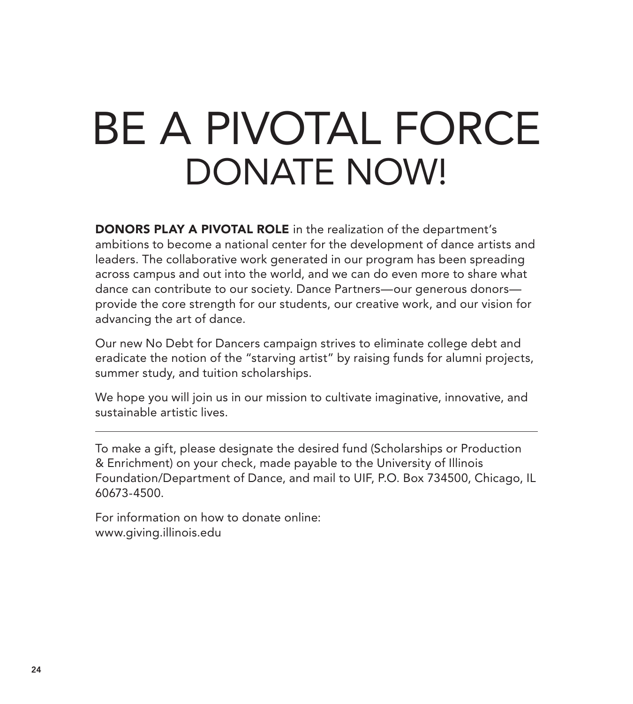# BE A PIVOTAL FORCE DONATE NOW!

DONORS PLAY A PIVOTAL ROLE in the realization of the department's ambitions to become a national center for the development of dance artists and leaders. The collaborative work generated in our program has been spreading across campus and out into the world, and we can do even more to share what dance can contribute to our society. Dance Partners—our generous donors provide the core strength for our students, our creative work, and our vision for advancing the art of dance.

Our new No Debt for Dancers campaign strives to eliminate college debt and eradicate the notion of the "starving artist" by raising funds for alumni projects, summer study, and tuition scholarships.

We hope you will join us in our mission to cultivate imaginative, innovative, and sustainable artistic lives.

To make a gift, please designate the desired fund (Scholarships or Production & Enrichment) on your check, made payable to the University of Illinois Foundation/Department of Dance, and mail to UIF, P.O. Box 734500, Chicago, IL 60673-4500.

For information on how to donate online: www.giving.illinois.edu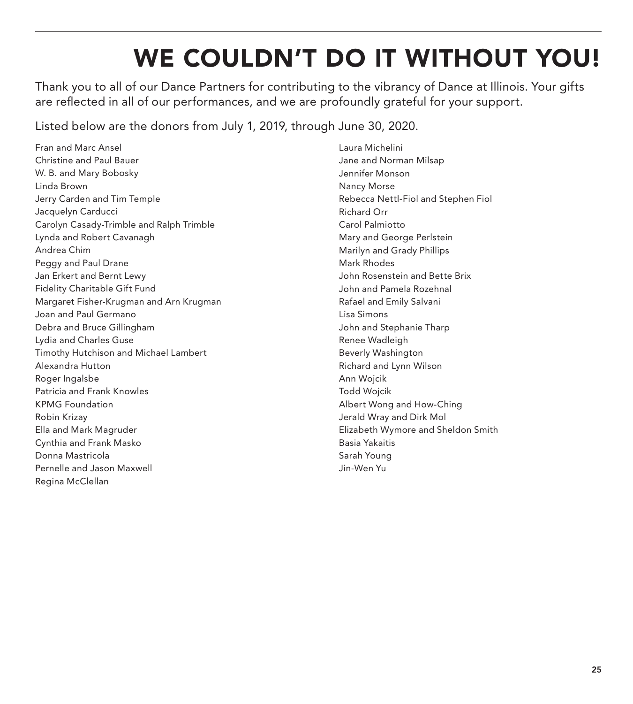## WE COULDN'T DO IT WITHOUT YOU!

Thank you to all of our Dance Partners for contributing to the vibrancy of Dance at Illinois. Your gifts are reflected in all of our performances, and we are profoundly grateful for your support.

Listed below are the donors from July 1, 2019, through June 30, 2020.

Fran and Marc Ansel Christine and Paul Bauer W. B. and Mary Bobosky Linda Brown Jerry Carden and Tim Temple Jacquelyn Carducci Carolyn Casady-Trimble and Ralph Trimble Lynda and Robert Cavanagh Andrea Chim Peggy and Paul Drane Jan Erkert and Bernt Lewy Fidelity Charitable Gift Fund Margaret Fisher-Krugman and Arn Krugman Joan and Paul Germano Debra and Bruce Gillingham Lydia and Charles Guse Timothy Hutchison and Michael Lambert Alexandra Hutton Roger Ingalsbe Patricia and Frank Knowles KPMG Foundation Robin Krizay Ella and Mark Magruder Cynthia and Frank Masko Donna Mastricola Pernelle and Jason Maxwell Regina McClellan

Laura Michelini Jane and Norman Milsap Jennifer Monson Nancy Morse Rebecca Nettl-Fiol and Stephen Fiol Richard Orr Carol Palmiotto Mary and George Perlstein Marilyn and Grady Phillips Mark Rhodes John Rosenstein and Bette Brix John and Pamela Rozehnal Rafael and Emily Salvani Lisa Simons John and Stephanie Tharp Renee Wadleigh Beverly Washington Richard and Lynn Wilson Ann Wojcik Todd Wojcik Albert Wong and How-Ching Jerald Wray and Dirk Mol Elizabeth Wymore and Sheldon Smith Basia Yakaitis Sarah Young Jin-Wen Yu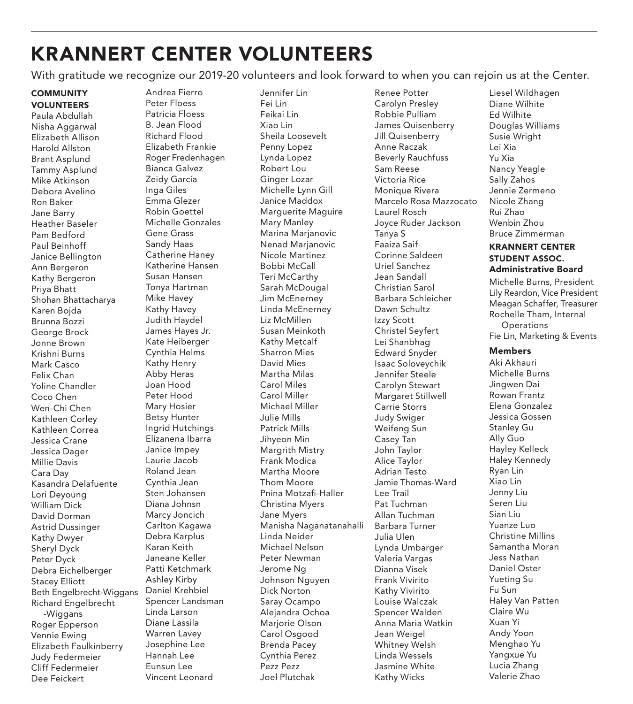## KRANNERT CENTER VOLUNTEERS

With gratitude we recognize our 2019-20 volunteers and look forward to when you can rejoin us at the Center.

#### **COMMUNITY** VOLUNTEERS

Paula Abdullah Nisha Aggarwal Elizabeth Allison Harold Allston Brant Asplund Tammy Asplund Mike Atkinson Debora Avelino Ron Baker Jane Barry Heather Baseler Pam Bedford Paul Beinhoff Janice Bellington Ann Bergeron Kathy Bergeron Priya Bhatt Shohan Bhattacharya Karen Bojda Brunna Bozzi George Brock Jonne Brown Krishni Burns Mark Casco Felix Chan Yoline Chandler Coco Chen Wen-Chi Chen Kathleen Corley Kathleen Correa Jessica Crane Jessica Dager Millie Davis Cara Day Kasandra Delafuente Lori Deyoung William Dick David Dorman Astrid Dussinger Kathy Dwyer Sheryl Dyck Peter Dyck Debra Eichelberger Stacey Elliott Beth Engelbrecht-Wiggans Richard Engelbrecht -Wiggans Roger Epperson Vennie Ewing Elizabeth Faulkinberry Judy Federmeier Cliff Federmeier Dee Feickert

Andrea Fierro Peter Floess Patricia Floess B. Jean Flood Richard Flood Elizabeth Frankie Roger Fredenhagen Bianca Galvez Zeidy Garcia Inga Giles Emma Glezer Robin Goettel Michelle Gonzales Gene Grass Sandy Haas Catherine Haney Katherine Hansen Susan Hansen Tonya Hartman Mike Havey Kathy Havey Judith Haydel James Hayes Jr. Kate Heiberger Cynthia Helms Kathy Henry Abby Heras Joan Hood Peter Hood Mary Hosier Betsy Hunter Ingrid Hutchings Elizanena Ibarra Janice Impey Laurie Jacob Roland Jean Cynthia Jean Sten Johansen Diana Johnsn Marcy Joncich Carlton Kagawa Debra Karplus Karan Keith Janeane Keller Patti Ketchmark Ashley Kirby Daniel Krehbiel Spencer Landsman Linda Larson Diane Lassila Warren Lavey Josephine Lee Hannah Lee Eunsun Lee Vincent Leonard

Jennifer Lin Fei Lin Feikai Lin Xiao Lin Sheila Loosevelt Penny Lopez Lynda Lopez Robert Lou Ginger Lozar Michelle Lynn Gill Janice Maddox Marguerite Maguire Mary Manley Marina Marjanovic Nenad Marjanovic Nicole Martinez Bobbi McCall Teri McCarthy Sarah McDougal Jim McEnerney Linda McEnerney Liz McMillen Susan Meinkoth Kathy Metcalf Sharron Mies David Mies Martha Milas Carol Miles Carol Miller Michael Miller Julie Mills Patrick Mills Jihyeon Min Margrith Mistry Frank Modica Martha Moore Thom Moore Pnina Motzafi -Haller Christina Myers Jane Myers Manisha Naganatanahalli Linda Neider Michael Nelson Peter Newman Jerome Ng Johnson Nguyen Dick Norton Saray Ocampo Alejandra Ochoa Mariorie Olson Carol Osgood Brenda Pacey Cynthia Perez Pezz Pezz Joel Plutchak

Renee Potter Carolyn Presley Robbie Pulliam James Quisenberry Jill Quisenberry Anne Raczak Beverly Rauchfuss Sam Reese Victoria Rice Monique Rivera Marcelo Rosa Mazzocato Laurel Rosch Joyce Ruder Jackson Tanya S Faaiza Saif Corinne Saldeen Uriel Sanchez Jean Sandall Christian Sarol Barbara Schleicher Dawn Schultz Izzy Scott Christel Seyfert Lei Shanbhag Edward Snyder Isaac Soloveychik Jennifer Steele Carolyn Stewart Margaret Stillwell Carrie Storrs Judy Swiger Weifeng Sun Casey Tan John Taylor Alice Taylor Adrian Testo Jamie Thomas-Ward Lee Trail Pat Tuchman Allan Tuchman Barbara Turner Julia Ulen Lynda Umbarger Valeria Vargas Dianna Visek Frank Vivirito Kathy Vivirito Louise Walczak Spencer Walden Anna Maria Watkin Jean Weigel Whitney Welsh Linda Wessels Jasmine White Kathy Wicks

Liesel Wildhagen Diane Wilhite Ed Wilhite Douglas Williams Susie Wright Lei Xia Yu Xia Nancy Yeagle Sally Zahos Jennie Zermeno Nicole Zhang Rui Zhao Wenbin Zhou Bruce Zimmerman

#### KRANNERT CENTER STUDENT ASSOC. Administrative Board

Michelle Burns, President Lily Reardon, Vice President Meagan Schaffer, Treasurer Rochelle Tham, Internal **Operations** Fie Lin, Marketing & Events

#### Members

Aki Akhauri Michelle Burns Jingwen Dai Rowan Frantz Elena Gonzalez Jessica Gossen Stanley Gu Ally Guo Hayley Kelleck Haley Kennedy Ryan Lin Xiao Lin Jenny Liu Seren Liu Sian Liu Yuanze Luo Christine Millins Samantha Moran Jess Nathan Daniel Oster Yueting Su Fu Sun Haley Van Patten Claire Wu Xuan Yi Andy Yoon Menghao Yu Yangxue Yu Lucia Zhang Valerie Zhao